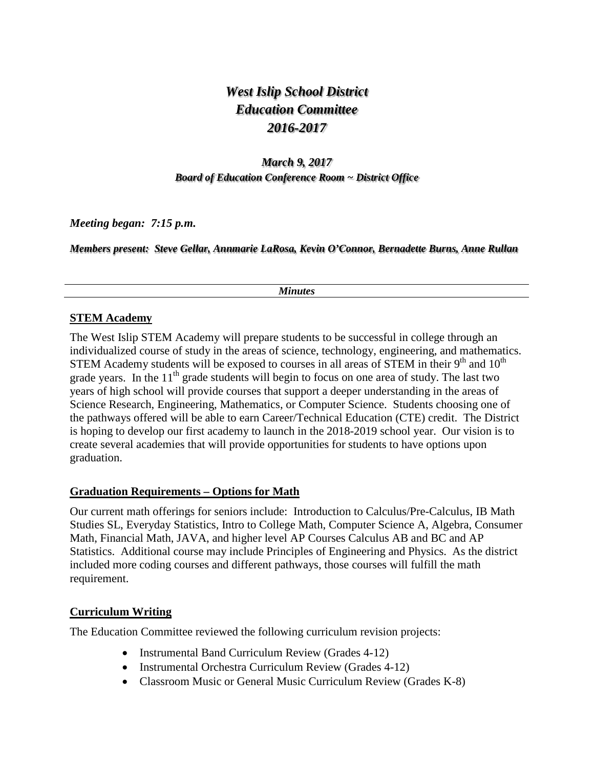# *West Islip School District Education Committee 2016-2017*

## *March 9, 2017 Board of Education Conference Room ~ District Office*

*Meeting began: 7:15 p.m.*

*Members present: Steve Gellar, Annmarie LaRosa, Kevin O'Connor, Bernadette Burns, Anne Rullan*

#### *Minutes*

#### **STEM Academy**

The West Islip STEM Academy will prepare students to be successful in college through an individualized course of study in the areas of science, technology, engineering, and mathematics. STEM Academy students will be exposed to courses in all areas of STEM in their  $9<sup>th</sup>$  and  $10<sup>th</sup>$ grade years. In the  $11<sup>th</sup>$  grade students will begin to focus on one area of study. The last two years of high school will provide courses that support a deeper understanding in the areas of Science Research, Engineering, Mathematics, or Computer Science. Students choosing one of the pathways offered will be able to earn Career/Technical Education (CTE) credit. The District is hoping to develop our first academy to launch in the 2018-2019 school year. Our vision is to create several academies that will provide opportunities for students to have options upon graduation.

#### **Graduation Requirements – Options for Math**

Our current math offerings for seniors include: Introduction to Calculus/Pre-Calculus, IB Math Studies SL, Everyday Statistics, Intro to College Math, Computer Science A, Algebra, Consumer Math, Financial Math, JAVA, and higher level AP Courses Calculus AB and BC and AP Statistics. Additional course may include Principles of Engineering and Physics. As the district included more coding courses and different pathways, those courses will fulfill the math requirement.

#### **Curriculum Writing**

The Education Committee reviewed the following curriculum revision projects:

- Instrumental Band Curriculum Review (Grades 4-12)
- Instrumental Orchestra Curriculum Review (Grades 4-12)
- Classroom Music or General Music Curriculum Review (Grades K-8)